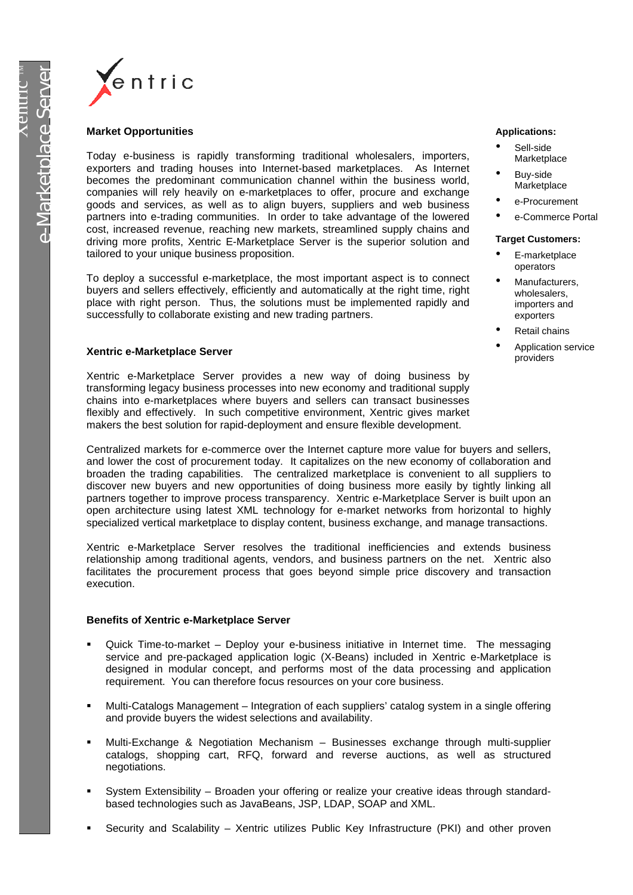

# **Market Opportunities**

Today e-business is rapidly transforming traditional wholesalers, importers, exporters and trading houses into Internet-based marketplaces. As Internet becomes the predominant communication channel within the business world, companies will rely heavily on e-marketplaces to offer, procure and exchange goods and services, as well as to align buyers, suppliers and web business partners into e-trading communities. In order to take advantage of the lowered cost, increased revenue, reaching new markets, streamlined supply chains and driving more profits, Xentric E-Marketplace Server is the superior solution and tailored to your unique business proposition.

To deploy a successful e-marketplace, the most important aspect is to connect buyers and sellers effectively, efficiently and automatically at the right time, right place with right person. Thus, the solutions must be implemented rapidly and successfully to collaborate existing and new trading partners.

# **Xentric e-Marketplace Server**

Xentric e-Marketplace Server provides a new way of doing business by transforming legacy business processes into new economy and traditional supply chains into e-marketplaces where buyers and sellers can transact businesses flexibly and effectively. In such competitive environment, Xentric gives market makers the best solution for rapid-deployment and ensure flexible development.

Centralized markets for e-commerce over the Internet capture more value for buyers and sellers, and lower the cost of procurement today. It capitalizes on the new economy of collaboration and broaden the trading capabilities. The centralized marketplace is convenient to all suppliers to discover new buyers and new opportunities of doing business more easily by tightly linking all partners together to improve process transparency. Xentric e-Marketplace Server is built upon an open architecture using latest XML technology for e-market networks from horizontal to highly specialized vertical marketplace to display content, business exchange, and manage transactions.

Xentric e-Marketplace Server resolves the traditional inefficiencies and extends business relationship among traditional agents, vendors, and business partners on the net. Xentric also facilitates the procurement process that goes beyond simple price discovery and transaction execution.

## **Benefits of Xentric e-Marketplace Server**

- ß Quick Time-to-market Deploy your e-business initiative in Internet time. The messaging service and pre-packaged application logic (X-Beans) included in Xentric e-Marketplace is designed in modular concept, and performs most of the data processing and application requirement. You can therefore focus resources on your core business.
- ß Multi-Catalogs Management Integration of each suppliers' catalog system in a single offering and provide buyers the widest selections and availability.
- ß Multi-Exchange & Negotiation Mechanism Businesses exchange through multi-supplier catalogs, shopping cart, RFQ, forward and reverse auctions, as well as structured negotiations.
- ß System Extensibility Broaden your offering or realize your creative ideas through standardbased technologies such as JavaBeans, JSP, LDAP, SOAP and XML.
- ß Security and Scalability Xentric utilizes Public Key Infrastructure (PKI) and other proven

#### **Applications:**

- Sell-side **Marketplace**
- Buy-side Marketplace
- e-Procurement
- e-Commerce Portal

#### **Target Customers:**

- E-marketplace operators
- Manufacturers. wholesalers, importers and exporters
- Retail chains
- Application service providers